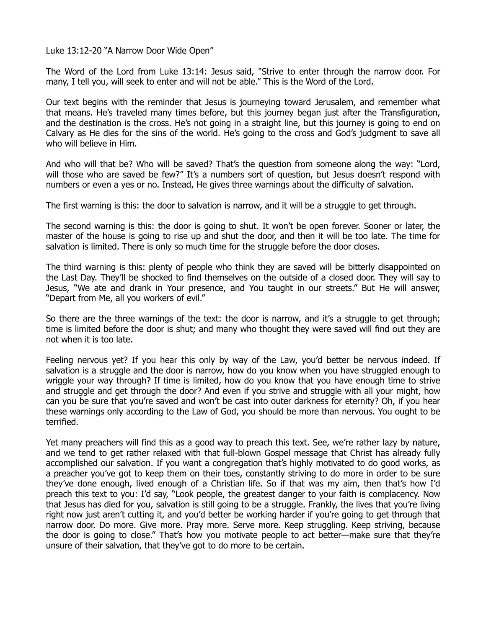Luke 13:12-20 "A Narrow Door Wide Open"

The Word of the Lord from Luke 13:14: Jesus said, "Strive to enter through the narrow door. For many, I tell you, will seek to enter and will not be able." This is the Word of the Lord.

Our text begins with the reminder that Jesus is journeying toward Jerusalem, and remember what that means. He's traveled many times before, but this journey began just after the Transfiguration, and the destination is the cross. He's not going in a straight line, but this journey is going to end on Calvary as He dies for the sins of the world. He's going to the cross and God's judgment to save all who will believe in Him.

And who will that be? Who will be saved? That's the question from someone along the way: "Lord, will those who are saved be few?" It's a numbers sort of question, but Jesus doesn't respond with numbers or even a yes or no. Instead, He gives three warnings about the difficulty of salvation.

The first warning is this: the door to salvation is narrow, and it will be a struggle to get through.

The second warning is this: the door is going to shut. It won't be open forever. Sooner or later, the master of the house is going to rise up and shut the door, and then it will be too late. The time for salvation is limited. There is only so much time for the struggle before the door closes.

The third warning is this: plenty of people who think they are saved will be bitterly disappointed on the Last Day. They'll be shocked to find themselves on the outside of a closed door. They will say to Jesus, "We ate and drank in Your presence, and You taught in our streets." But He will answer, "Depart from Me, all you workers of evil."

So there are the three warnings of the text: the door is narrow, and it's a struggle to get through; time is limited before the door is shut; and many who thought they were saved will find out they are not when it is too late.

Feeling nervous yet? If you hear this only by way of the Law, you'd better be nervous indeed. If salvation is a struggle and the door is narrow, how do you know when you have struggled enough to wriggle your way through? If time is limited, how do you know that you have enough time to strive and struggle and get through the door? And even if you strive and struggle with all your might, how can you be sure that you're saved and won't be cast into outer darkness for eternity? Oh, if you hear these warnings only according to the Law of God, you should be more than nervous. You ought to be terrified.

Yet many preachers will find this as a good way to preach this text. See, we're rather lazy by nature, and we tend to get rather relaxed with that full-blown Gospel message that Christ has already fully accomplished our salvation. If you want a congregation that's highly motivated to do good works, as a preacher you've got to keep them on their toes, constantly striving to do more in order to be sure they've done enough, lived enough of a Christian life. So if that was my aim, then that's how I'd preach this text to you: I'd say, "Look people, the greatest danger to your faith is complacency. Now that Jesus has died for you, salvation is still going to be a struggle. Frankly, the lives that you're living right now just aren't cutting it, and you'd better be working harder if you're going to get through that narrow door. Do more. Give more. Pray more. Serve more. Keep struggling. Keep striving, because the door is going to close." That's how you motivate people to act better—make sure that they're unsure of their salvation, that they've got to do more to be certain.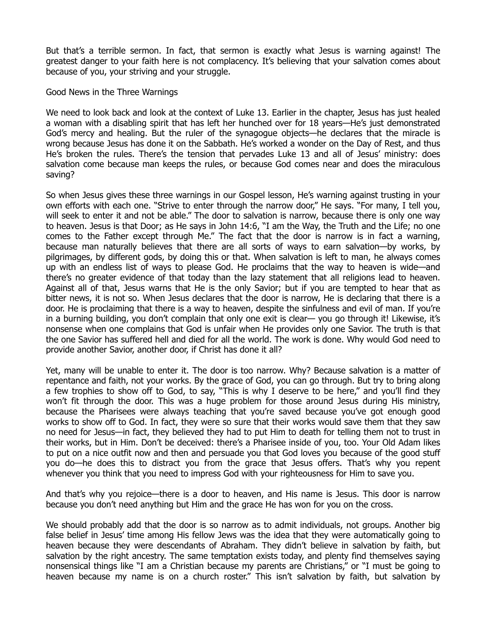But that's a terrible sermon. In fact, that sermon is exactly what Jesus is warning against! The greatest danger to your faith here is not complacency. It's believing that your salvation comes about because of you, your striving and your struggle.

Good News in the Three Warnings

We need to look back and look at the context of Luke 13. Earlier in the chapter, Jesus has just healed a woman with a disabling spirit that has left her hunched over for 18 years—He's just demonstrated God's mercy and healing. But the ruler of the synagogue objects—he declares that the miracle is wrong because Jesus has done it on the Sabbath. He's worked a wonder on the Day of Rest, and thus He's broken the rules. There's the tension that pervades Luke 13 and all of Jesus' ministry: does salvation come because man keeps the rules, or because God comes near and does the miraculous saving?

So when Jesus gives these three warnings in our Gospel lesson, He's warning against trusting in your own efforts with each one. "Strive to enter through the narrow door," He says. "For many, I tell you, will seek to enter it and not be able." The door to salvation is narrow, because there is only one way to heaven. Jesus is that Door; as He says in John 14:6, "I am the Way, the Truth and the Life; no one comes to the Father except through Me." The fact that the door is narrow is in fact a warning, because man naturally believes that there are all sorts of ways to earn salvation—by works, by pilgrimages, by different gods, by doing this or that. When salvation is left to man, he always comes up with an endless list of ways to please God. He proclaims that the way to heaven is wide—and there's no greater evidence of that today than the lazy statement that all religions lead to heaven. Against all of that, Jesus warns that He is the only Savior; but if you are tempted to hear that as bitter news, it is not so. When Jesus declares that the door is narrow, He is declaring that there is a door. He is proclaiming that there is a way to heaven, despite the sinfulness and evil of man. If you're in a burning building, you don't complain that only one exit is clear— you go through it! Likewise, it's nonsense when one complains that God is unfair when He provides only one Savior. The truth is that the one Savior has suffered hell and died for all the world. The work is done. Why would God need to provide another Savior, another door, if Christ has done it all?

Yet, many will be unable to enter it. The door is too narrow. Why? Because salvation is a matter of repentance and faith, not your works. By the grace of God, you can go through. But try to bring along a few trophies to show off to God, to say, "This is why I deserve to be here," and you'll find they won't fit through the door. This was a huge problem for those around Jesus during His ministry, because the Pharisees were always teaching that you're saved because you've got enough good works to show off to God. In fact, they were so sure that their works would save them that they saw no need for Jesus—in fact, they believed they had to put Him to death for telling them not to trust in their works, but in Him. Don't be deceived: there's a Pharisee inside of you, too. Your Old Adam likes to put on a nice outfit now and then and persuade you that God loves you because of the good stuff you do—he does this to distract you from the grace that Jesus offers. That's why you repent whenever you think that you need to impress God with your righteousness for Him to save you.

And that's why you rejoice—there is a door to heaven, and His name is Jesus. This door is narrow because you don't need anything but Him and the grace He has won for you on the cross.

We should probably add that the door is so narrow as to admit individuals, not groups. Another big false belief in Jesus' time among His fellow Jews was the idea that they were automatically going to heaven because they were descendants of Abraham. They didn't believe in salvation by faith, but salvation by the right ancestry. The same temptation exists today, and plenty find themselves saying nonsensical things like "I am a Christian because my parents are Christians," or "I must be going to heaven because my name is on a church roster." This isn't salvation by faith, but salvation by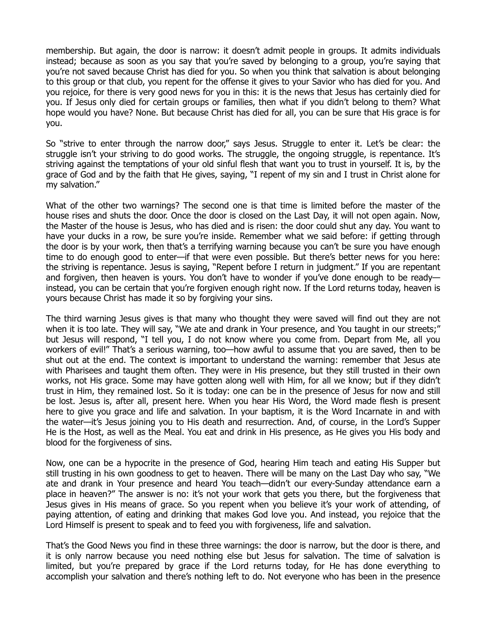membership. But again, the door is narrow: it doesn't admit people in groups. It admits individuals instead; because as soon as you say that you're saved by belonging to a group, you're saying that you're not saved because Christ has died for you. So when you think that salvation is about belonging to this group or that club, you repent for the offense it gives to your Savior who has died for you. And you rejoice, for there is very good news for you in this: it is the news that Jesus has certainly died for you. If Jesus only died for certain groups or families, then what if you didn't belong to them? What hope would you have? None. But because Christ has died for all, you can be sure that His grace is for you.

So "strive to enter through the narrow door," says Jesus. Struggle to enter it. Let's be clear: the struggle isn't your striving to do good works. The struggle, the ongoing struggle, is repentance. It's striving against the temptations of your old sinful flesh that want you to trust in yourself. It is, by the grace of God and by the faith that He gives, saying, "I repent of my sin and I trust in Christ alone for my salvation."

What of the other two warnings? The second one is that time is limited before the master of the house rises and shuts the door. Once the door is closed on the Last Day, it will not open again. Now, the Master of the house is Jesus, who has died and is risen: the door could shut any day. You want to have your ducks in a row, be sure you're inside. Remember what we said before: if getting through the door is by your work, then that's a terrifying warning because you can't be sure you have enough time to do enough good to enter—if that were even possible. But there's better news for you here: the striving is repentance. Jesus is saying, "Repent before I return in judgment." If you are repentant and forgiven, then heaven is yours. You don't have to wonder if you've done enough to be ready instead, you can be certain that you're forgiven enough right now. If the Lord returns today, heaven is yours because Christ has made it so by forgiving your sins.

The third warning Jesus gives is that many who thought they were saved will find out they are not when it is too late. They will say, "We ate and drank in Your presence, and You taught in our streets;" but Jesus will respond, "I tell you, I do not know where you come from. Depart from Me, all you workers of evil!" That's a serious warning, too—how awful to assume that you are saved, then to be shut out at the end. The context is important to understand the warning: remember that Jesus ate with Pharisees and taught them often. They were in His presence, but they still trusted in their own works, not His grace. Some may have gotten along well with Him, for all we know; but if they didn't trust in Him, they remained lost. So it is today: one can be in the presence of Jesus for now and still be lost. Jesus is, after all, present here. When you hear His Word, the Word made flesh is present here to give you grace and life and salvation. In your baptism, it is the Word Incarnate in and with the water—it's Jesus joining you to His death and resurrection. And, of course, in the Lord's Supper He is the Host, as well as the Meal. You eat and drink in His presence, as He gives you His body and blood for the forgiveness of sins.

Now, one can be a hypocrite in the presence of God, hearing Him teach and eating His Supper but still trusting in his own goodness to get to heaven. There will be many on the Last Day who say, "We ate and drank in Your presence and heard You teach—didn't our every-Sunday attendance earn a place in heaven?" The answer is no: it's not your work that gets you there, but the forgiveness that Jesus gives in His means of grace. So you repent when you believe it's your work of attending, of paying attention, of eating and drinking that makes God love you. And instead, you rejoice that the Lord Himself is present to speak and to feed you with forgiveness, life and salvation.

That's the Good News you find in these three warnings: the door is narrow, but the door is there, and it is only narrow because you need nothing else but Jesus for salvation. The time of salvation is limited, but you're prepared by grace if the Lord returns today, for He has done everything to accomplish your salvation and there's nothing left to do. Not everyone who has been in the presence